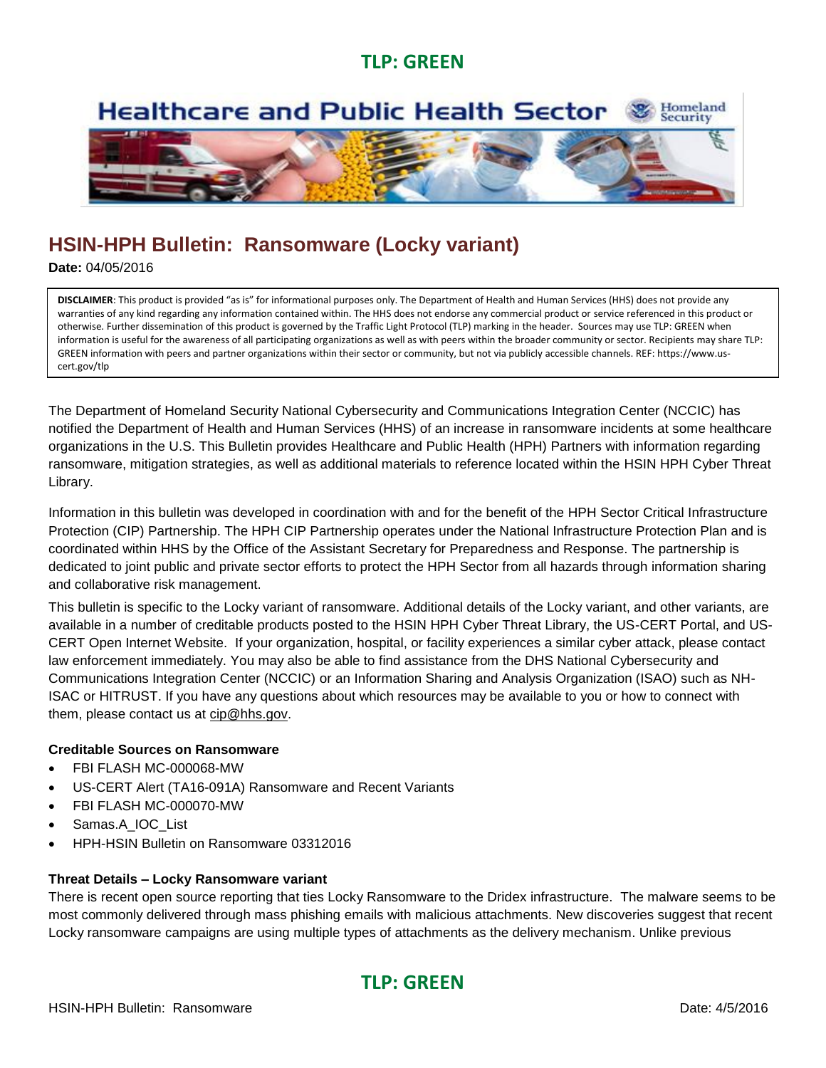### **TLP: GREEN**

#### Homeland<br>Security **Healthcare and Public Health Sector**



# **HSIN-HPH Bulletin: Ransomware (Locky variant)**

**Date:** 04/05/2016

GREEN information with peers and partner organizations within their sector or community, but not via publicly accessible channels. REF: https://www.us-<br>cert.gov/tlp **DISCLAIMER**: This product is provided "as is" for informational purposes only. The Department of Health and Human Services (HHS) does not provide any warranties of any kind regarding any information contained within. The HHS does not endorse any commercial product or service referenced in this product or otherwise. Further dissemination of this product is governed by the Traffic Light Protocol (TLP) marking in the header. Sources may use TLP: GREEN when information is useful for the awareness of all participating organizations as well as with peers within the broader community or sector. Recipients may share TLP: cert.gov/tlp

The Department of Homeland Security National Cybersecurity and Communications Integration Center (NCCIC) has notified the Department of Health and Human Services (HHS) of an increase in ransomware incidents at some healthcare organizations in the U.S. This Bulletin provides Healthcare and Public Health (HPH) Partners with information regarding ransomware, mitigation strategies, as well as additional materials to reference located within the HSIN HPH Cyber Threat Library.

Information in this bulletin was developed in coordination with and for the benefit of the HPH Sector Critical Infrastructure Protection (CIP) Partnership. The HPH CIP Partnership operates under the National Infrastructure Protection Plan and is coordinated within HHS by the Office of the Assistant Secretary for Preparedness and Response. The partnership is dedicated to joint public and private sector efforts to protect the HPH Sector from all hazards through information sharing and collaborative risk management.

This bulletin is specific to the Locky variant of ransomware. Additional details of the Locky variant, and other variants, are available in a number of creditable products posted to the HSIN HPH Cyber Threat Library, the US-CERT Portal, and US-CERT Open Internet Website. If your organization, hospital, or facility experiences a similar cyber attack, please contact law enforcement immediately. You may also be able to find assistance from the DHS National Cybersecurity and Communications Integration Center (NCCIC) or an Information Sharing and Analysis Organization (ISAO) such as NH-ISAC or HITRUST. If you have any questions about which resources may be available to you or how to connect with them, please contact us at [cip@hhs.gov.](mailto:cip@hhs.gov)

### **Creditable Sources on Ransomware**

- FBI FLASH MC-000068-MW
- US-CERT Alert (TA16-091A) Ransomware and Recent Variants
- FBI FLASH MC-000070-MW
- Samas.A\_IOC\_List
- HPH-HSIN Bulletin on Ransomware 03312016

#### **Threat Details – Locky Ransomware variant**

There is recent open source reporting that ties Locky Ransomware to the Dridex infrastructure. The malware seems to be most commonly delivered through mass phishing emails with malicious attachments. New discoveries suggest that recent Locky ransomware campaigns are using multiple types of attachments as the delivery mechanism. Unlike previous

## **TLP: GREEN**